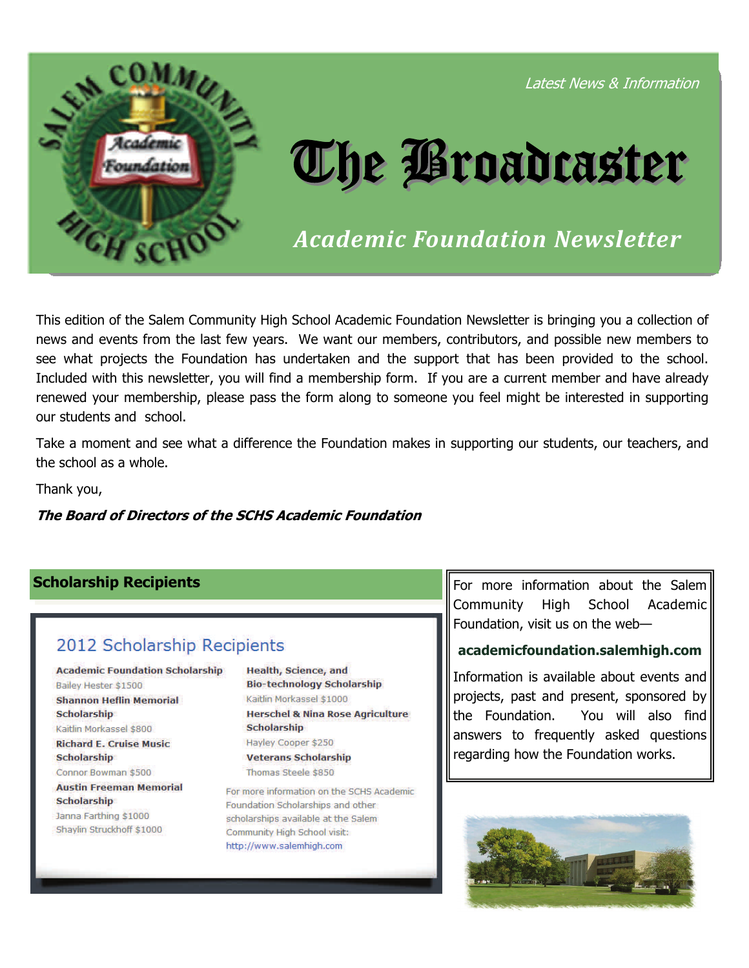

This edition of the Salem Community High School Academic Foundation Newsletter is bringing you a collection of news and events from the last few years. We want our members, contributors, and possible new members to see what projects the Foundation has undertaken and the support that has been provided to the school. Included with this newsletter, you will find a membership form. If you are a current member and have already renewed your membership, please pass the form along to someone you feel might be interested in supporting our students and school.

Take a moment and see what a difference the Foundation makes in supporting our students, our teachers, and the school as a whole.

Thank you,

# **The Board of Directors of the SCHS Academic Foundation**

# 2012 Scholarship Recipients

**Academic Foundation Scholarship** Bailey Hester \$1500 **Shannon Heflin Memorial Scholarship** Kaitlin Morkassel \$800

**Richard E. Cruise Music Scholarship** Connor Bowman \$500

**Austin Freeman Memorial Scholarship** Janna Farthing \$1000 Shaylin Struckhoff \$1000

**Health, Science, and Bio-technology Scholarship** Kaitlin Morkassel \$1000 **Herschel & Nina Rose Agriculture Scholarship** Hayley Cooper \$250 **Veterans Scholarship** Thomas Steele \$850

For more information on the SCHS Academic Foundation Scholarships and other scholarships available at the Salem Community High School visit: http://www.salemhigh.com

**Scholarship Recipients For many states in the Salem** For more information about the Salem Community High School Academic Foundation, visit us on the web—

# **academicfoundation.salemhigh.com**

Information is available about events and projects, past and present, sponsored by the Foundation. You will also find answers to frequently asked questions regarding how the Foundation works.

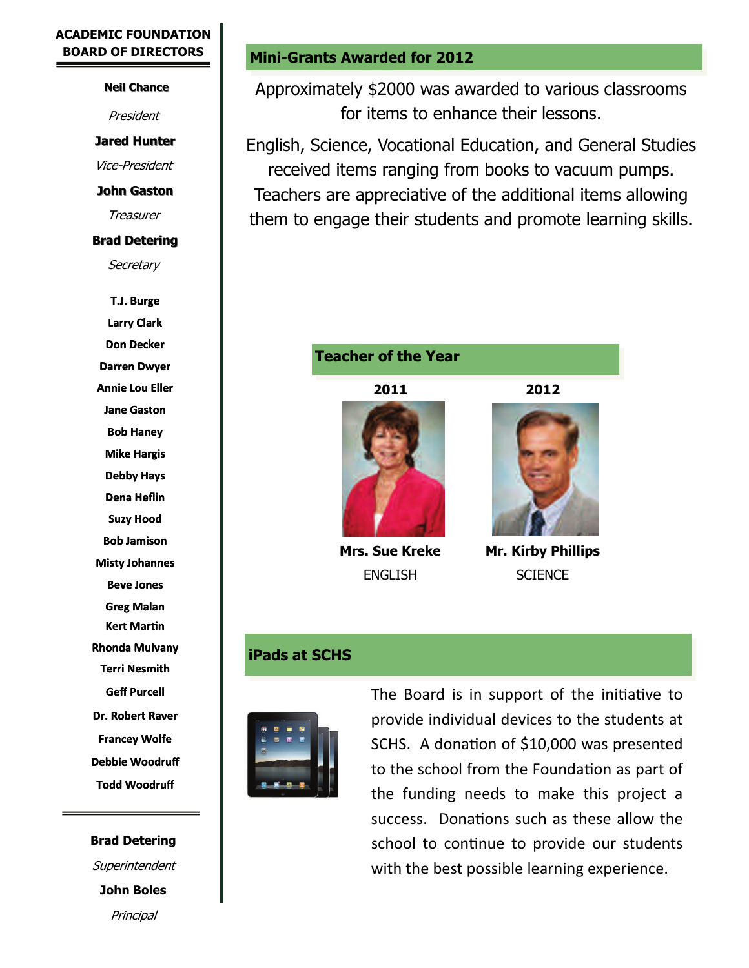# **ACADEMIC FOUNDATION BOARD OF DIRECTORS**

### **Neil Chance**

President

**Jared Hunter Jared Hunter**

Vice-President

**John Gaston**

**Treasurer** 

# **Brad Detering**

**Secretary** 

**T.J. Burge Larry Clark Don Decker T.J. Burge<br>Larry Clark<br>Don Decker<br>Darren Dwyer Annie Lou Eller Jane Gaston Bob Haney Mike Hargis Debby Hays Dena Heflin Suzy Hood Bob Jamison SuzyHoodBobJamisonMisty Johannes Beve Jones Greg Malan Kert MarƟn Rhonda Mulvany Terri Nesmith Geff Purcell Dr. Robert Raver Francey Wolfe Dr. Robert Raver<br>Francey Wolfe<br>Debbie Woodruff Todd Woodruff** . . . . .

**Brad Detering Superintendent John Boles Principal** 

# **Mini-Grants Awarded for 2012**

Approximately \$2000 was awarded to various classrooms for items to enhance their lessons.

English, Science, Vocational Education, and General Studies received items ranging from books to vacuum pumps. Teachers are appreciative of the additional items allowing them to engage their students and promote learning skills.

# **Teacher of the Year**

**2011 2012** 





**Mrs. Sue Kreke Mr. Kirby Phillips**  ENGLISH SCIENCE

# **iPads at SCHS**



The Board is in support of the initiative to provide individual devices to the students at SCHS. A donation of \$10,000 was presented to the school from the Foundation as part of the funding needs to make this project a success. Donations such as these allow the school to continue to provide our students with the best possible learning experience.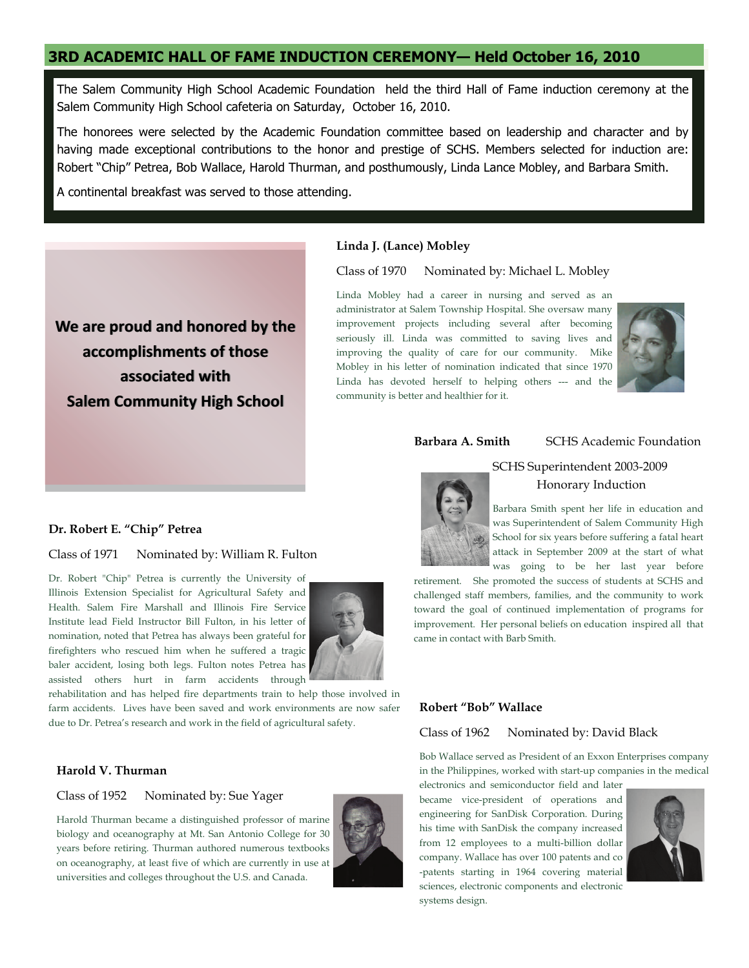# **3RD ACADEMIC HALL OF FAME INDUCTION CEREMONY— Held October 16, 2010**

The Salem Community High School Academic Foundation held the third Hall of Fame induction ceremony at the Salem Community High School cafeteria on Saturday, October 16, 2010.

The honorees were selected by the Academic Foundation committee based on leadership and character and by having made exceptional contributions to the honor and prestige of SCHS. Members selected for induction are: Robert "Chip" Petrea, Bob Wallace, Harold Thurman, and posthumously, Linda Lance Mobley, and Barbara Smith.

A continental breakfast was served to those attending.



#### **Linda J. (Lance) Mobley**

Class of 1970 Nominated by: Michael L. Mobley

Linda Mobley had a career in nursing and served as an administrator at Salem Township Hospital. She oversaw many improvement projects including several after becoming seriously ill. Linda was committed to saving lives and improving the quality of care for our community. Mike Mobley in his letter of nomination indicated that since 1970 Linda has devoted herself to helping others --- and the community is better and healthier for it.



#### **Barbara A. Smith SCHS Academic Foundation**



#### SCHS Superintendent 2003-2009 Honorary Induction

Barbara Smith spent her life in education and was Superintendent of Salem Community High School for six years before suffering a fatal heart attack in September 2009 at the start of what was going to be her last year before

retirement. She promoted the success of students at SCHS and challenged staff members, families, and the community to work toward the goal of continued implementation of programs for improvement. Her personal beliefs on education inspired all that came in contact with Barb Smith.

#### **Robert "Bob" Wallace**

#### Class of 1962 Nominated by: David Black

Bob Wallace served as President of an Exxon Enterprises company in the Philippines, worked with start-up companies in the medical

electronics and semiconductor field and later became vice-president of operations and engineering for SanDisk Corporation. During his time with SanDisk the company increased from 12 employees to a multi-billion dollar company. Wallace has over 100 patents and co -patents starting in 1964 covering material sciences, electronic components and electronic systems design.



### **Dr. Robert E. "Chip" Petrea**

Class of 1971 Nominated by: William R. Fulton

Dr. Robert "Chip" Petrea is currently the University of Illinois Extension Specialist for Agricultural Safety and Health. Salem Fire Marshall and Illinois Fire Service Institute lead Field Instructor Bill Fulton, in his letter of nomination, noted that Petrea has always been grateful for firefighters who rescued him when he suffered a tragic baler accident, losing both legs. Fulton notes Petrea has assisted others hurt in farm accidents through



rehabilitation and has helped fire departments train to help those involved in farm accidents. Lives have been saved and work environments are now safer due to Dr. Petrea's research and work in the field of agricultural safety.

#### **Harold V. Thurman**

#### Class of 1952 Nominated by: Sue Yager

Harold Thurman became a distinguished professor of marine biology and oceanography at Mt. San Antonio College for 30 years before retiring. Thurman authored numerous textbooks on oceanography, at least five of which are currently in use at universities and colleges throughout the U.S. and Canada.